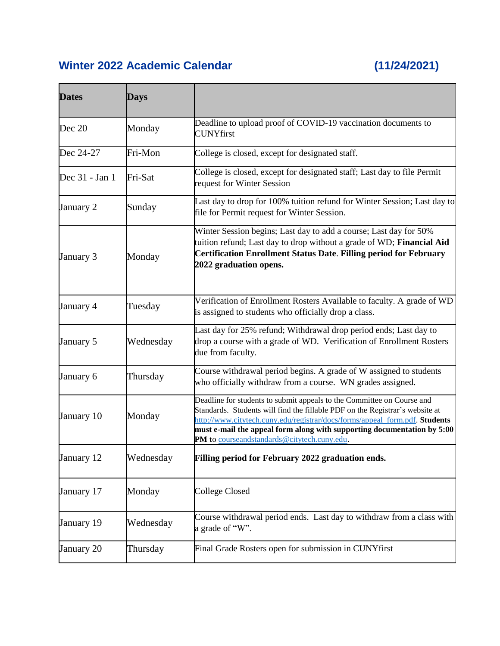## **Winter 2022 Academic Calendar (11/24/2021)**

| <b>Dates</b>   | Days      |                                                                                                                                                                                                                                                                                                                                                                 |
|----------------|-----------|-----------------------------------------------------------------------------------------------------------------------------------------------------------------------------------------------------------------------------------------------------------------------------------------------------------------------------------------------------------------|
| Dec 20         | Monday    | Deadline to upload proof of COVID-19 vaccination documents to<br><b>CUNYfirst</b>                                                                                                                                                                                                                                                                               |
| Dec 24-27      | Fri-Mon   | College is closed, except for designated staff.                                                                                                                                                                                                                                                                                                                 |
| Dec 31 - Jan 1 | Fri-Sat   | College is closed, except for designated staff; Last day to file Permit<br>request for Winter Session                                                                                                                                                                                                                                                           |
| January 2      | Sunday    | Last day to drop for 100% tuition refund for Winter Session; Last day to<br>file for Permit request for Winter Session.                                                                                                                                                                                                                                         |
| January 3      | Monday    | Winter Session begins; Last day to add a course; Last day for 50%<br>tuition refund; Last day to drop without a grade of WD; Financial Aid<br><b>Certification Enrollment Status Date. Filling period for February</b><br>2022 graduation opens.                                                                                                                |
| January 4      | Tuesday   | Verification of Enrollment Rosters Available to faculty. A grade of WD<br>is assigned to students who officially drop a class.                                                                                                                                                                                                                                  |
| January 5      | Wednesday | Last day for 25% refund; Withdrawal drop period ends; Last day to<br>drop a course with a grade of WD. Verification of Enrollment Rosters<br>due from faculty.                                                                                                                                                                                                  |
| January 6      | Thursday  | Course withdrawal period begins. A grade of W assigned to students<br>who officially withdraw from a course. WN grades assigned.                                                                                                                                                                                                                                |
| January 10     | Monday    | Deadline for students to submit appeals to the Committee on Course and<br>Standards. Students will find the fillable PDF on the Registrar's website at<br>http://www.citytech.cuny.edu/registrar/docs/forms/appeal_form.pdf. Students<br>must e-mail the appeal form along with supporting documentation by 5:00<br>PM to courseandstandards@citytech.cuny.edu. |
| January 12     | Wednesday | Filling period for February 2022 graduation ends.                                                                                                                                                                                                                                                                                                               |
| January 17     | Monday    | <b>College Closed</b>                                                                                                                                                                                                                                                                                                                                           |
| January 19     | Wednesday | Course withdrawal period ends. Last day to withdraw from a class with<br>a grade of "W".                                                                                                                                                                                                                                                                        |
| January 20     | Thursday  | Final Grade Rosters open for submission in CUNYfirst                                                                                                                                                                                                                                                                                                            |